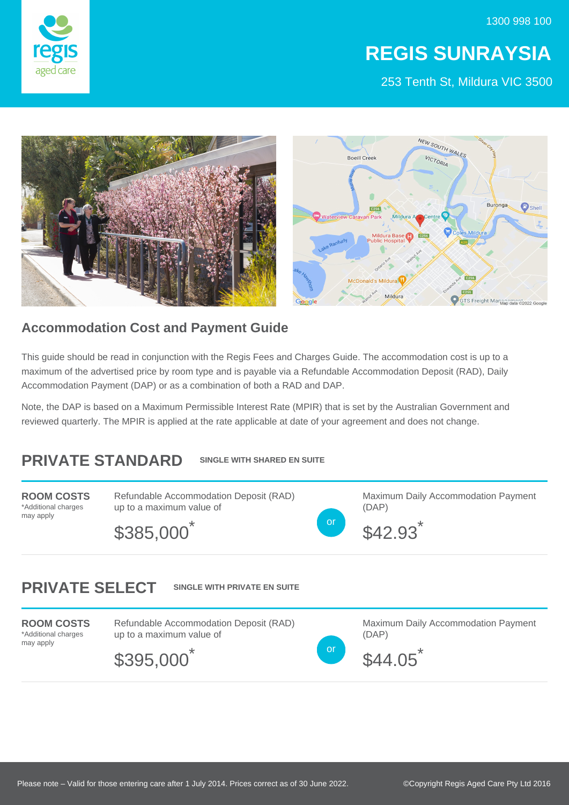1300 998 100



## **REGIS SUNRAYSIA**

253 Tenth St, Mildura VIC 3500



## **Accommodation Cost and Payment Guide**

This guide should be read in conjunction with the Regis Fees and Charges Guide. The accommodation cost is up to a maximum of the advertised price by room type and is payable via a Refundable Accommodation Deposit (RAD), Daily Accommodation Payment (DAP) or as a combination of both a RAD and DAP.

Note, the DAP is based on a Maximum Permissible Interest Rate (MPIR) that is set by the Australian Government and reviewed quarterly. The MPIR is applied at the rate applicable at date of your agreement and does not change.

## **PRIVATE STANDARD SINGLE WITH SHARED EN SUITE**